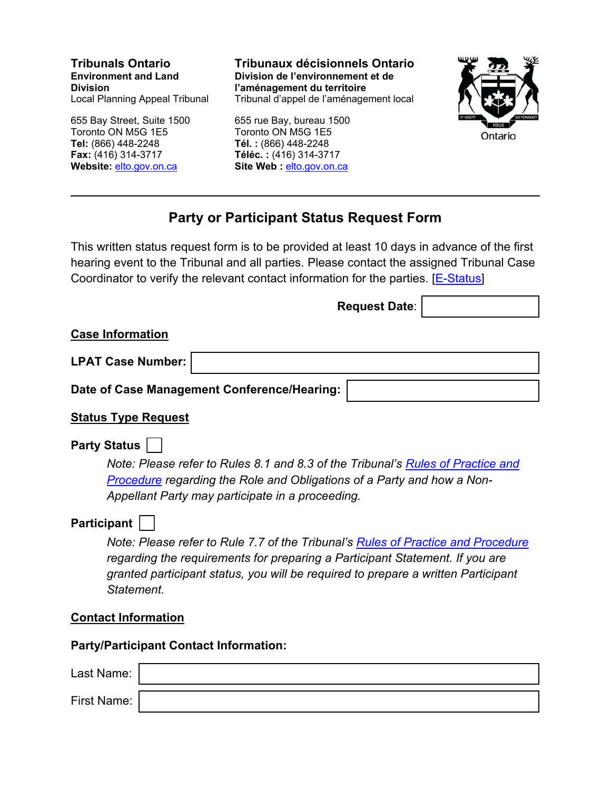**Tribunals Ontario Environment and Land Division**  Local Planning Appeal Tribunal

655 Bay Street, Suite 1500 Toronto ON M5G 1E5 **Tel:** (866) 448-2248 **Fax:** (416) 314-3717 **Website:** [elto.gov.on.ca](https://elto.gov.on.ca/) 

**Tribunaux décisionnels Ontario Division de l'environnement et de l'aménagement du territoire**  Tribunal d'appel de l'aménagement local

655 rue Bay, bureau 1500 Toronto ON M5G 1E5 **Tél. :** (866) 448-2248 **Téléc. :** (416) 314-3717 Site Web : elto.gov.on.ca



# **Party or Participant Status Request Form**

This written status request form is to be provided at least 10 days in advance of the first hearing event to the Tribunal and all parties. Please contact the assigned Tribunal Case Coordinator to verify the relevant contact information for the parties.  $E\text{-}Status$ 

**Request Date**:

#### **Case Information**

**LPAT Case Number:** 

**Date of Case Management Conference/Hearing:** 

## **Status Type Request**

## **Party Status**

*Note: Please refer to Rules 8.1 and 8.3 of the Tribunal's [Rules of Practice and](https://elto.gov.on.ca/tribunals/lpat/legislation-and-rules/)  [Procedure](https://elto.gov.on.ca/tribunals/lpat/legislation-and-rules/) regarding the Role and Obligations of a Party and how a Non-Appellant Party may participate in a proceeding.* 

## **Participant**

*Note: Please refer to Rule 7.7 of the Tribunal's [Rules of Practice and Procedure](https://elto.gov.on.ca/tribunals/lpat/legislation-and-rules/)  regarding the requirements for preparing a Participant Statement. If you are granted participant status, you will be required to prepare a written Participant Statement.* 

#### **Contact Information**

**Party/Participant Contact Information:**

| Last Name:  |  |
|-------------|--|
| First Name: |  |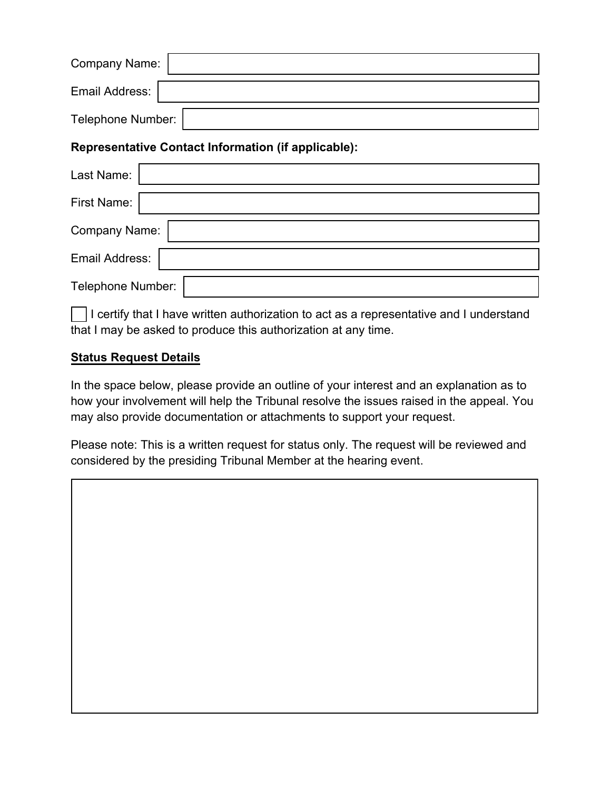| Company Name:     |  |
|-------------------|--|
| Email Address:    |  |
| Telephone Number: |  |

## **Representative Contact Information (if applicable):**

| Last Name:        |  |
|-------------------|--|
| First Name:       |  |
| Company Name:     |  |
| Email Address:    |  |
| Telephone Number: |  |

I certify that I have written authorization to act as a representative and I understand that I may be asked to produce this authorization at any time.

## **Status Request Details**

In the space below, please provide an outline of your interest and an explanation as to how your involvement will help the Tribunal resolve the issues raised in the appeal. You may also provide documentation or attachments to support your request.

Please note: This is a written request for status only. The request will be reviewed and considered by the presiding Tribunal Member at the hearing event.